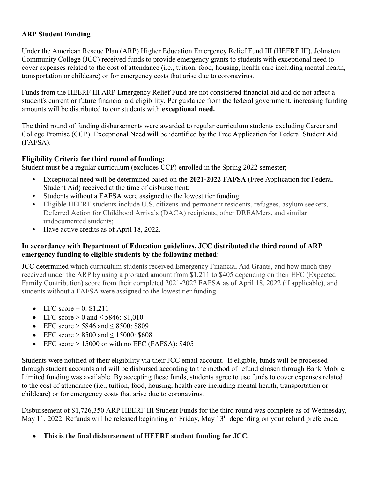## ARP Student Funding

Under the American Rescue Plan (ARP) Higher Education Emergency Relief Fund III (HEERF III), Johnston Community College (JCC) received funds to provide emergency grants to students with exceptional need to cover expenses related to the cost of attendance (i.e., tuition, food, housing, health care including mental health, transportation or childcare) or for emergency costs that arise due to coronavirus.

Funds from the HEERF III ARP Emergency Relief Fund are not considered financial aid and do not affect a student's current or future financial aid eligibility. Per guidance from the federal government, increasing funding amounts will be distributed to our students with exceptional need.

The third round of funding disbursements were awarded to regular curriculum students excluding Career and College Promise (CCP). Exceptional Need will be identified by the Free Application for Federal Student Aid (FAFSA).

## Eligibility Criteria for third round of funding:

Student must be a regular curriculum (excludes CCP) enrolled in the Spring 2022 semester;

- Exceptional need will be determined based on the 2021-2022 FAFSA (Free Application for Federal Student Aid) received at the time of disbursement;
- Students without a FAFSA were assigned to the lowest tier funding;
- Eligible HEERF students include U.S. citizens and permanent residents, refugees, asylum seekers, Deferred Action for Childhood Arrivals (DACA) recipients, other DREAMers, and similar undocumented students;
- Have active credits as of April 18, 2022.

## In accordance with Department of Education guidelines, JCC distributed the third round of ARP emergency funding to eligible students by the following method:

JCC determined which curriculum students received Emergency Financial Aid Grants, and how much they received under the ARP by using a prorated amount from \$1,211 to \$405 depending on their EFC (Expected Family Contribution) score from their completed 2021-2022 FAFSA as of April 18, 2022 (if applicable), and students without a FAFSA were assigned to the lowest tier funding.

- $\bullet$  EFC score = 0: \$1,211
- EFC score > 0 and  $\leq$  5846: \$1,010
- EFC score  $> 5846$  and  $< 8500$ : \$809
- EFC score  $> 8500$  and  $\leq 15000$ : \$608
- EFC score  $> 15000$  or with no EFC (FAFSA): \$405

Students were notified of their eligibility via their JCC email account. If eligible, funds will be processed through student accounts and will be disbursed according to the method of refund chosen through Bank Mobile. Limited funding was available. By accepting these funds, students agree to use funds to cover expenses related to the cost of attendance (i.e., tuition, food, housing, health care including mental health, transportation or childcare) or for emergency costs that arise due to coronavirus.

Disbursement of \$1,726,350 ARP HEERF III Student Funds for the third round was complete as of Wednesday, May 11, 2022. Refunds will be released beginning on Friday, May 13<sup>th</sup> depending on your refund preference.

This is the final disbursement of HEERF student funding for JCC.